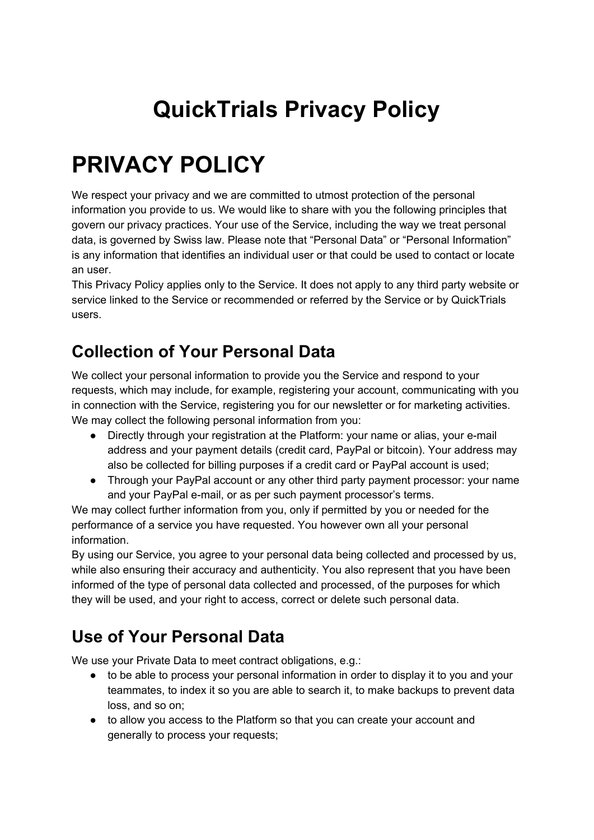# **QuickTrials Privacy Policy**

# **PRIVACY POLICY**

We respect your privacy and we are committed to utmost protection of the personal information you provide to us. We would like to share with you the following principles that govern our privacy practices. Your use of the Service, including the way we treat personal data, is governed by Swiss law. Please note that "Personal Data" or "Personal Information" is any information that identifies an individual user or that could be used to contact or locate an user.

This Privacy Policy applies only to the Service. It does not apply to any third party website or service linked to the Service or recommended or referred by the Service or by QuickTrials users.

#### **Collection of Your Personal Data**

We collect your personal information to provide you the Service and respond to your requests, which may include, for example, registering your account, communicating with you in connection with the Service, registering you for our newsletter or for marketing activities. We may collect the following personal information from you:

- Directly through your registration at the Platform: your name or alias, your e-mail address and your payment details (credit card, PayPal or bitcoin). Your address may also be collected for billing purposes if a credit card or PayPal account is used;
- Through your PayPal account or any other third party payment processor: your name and your PayPal e-mail, or as per such payment processor's terms.

We may collect further information from you, only if permitted by you or needed for the performance of a service you have requested. You however own all your personal information.

By using our Service, you agree to your personal data being collected and processed by us, while also ensuring their accuracy and authenticity. You also represent that you have been informed of the type of personal data collected and processed, of the purposes for which they will be used, and your right to access, correct or delete such personal data.

#### **Use of Your Personal Data**

We use your Private Data to meet contract obligations, e.g.:

- to be able to process your personal information in order to display it to you and your teammates, to index it so you are able to search it, to make backups to prevent data loss, and so on;
- to allow you access to the Platform so that you can create your account and generally to process your requests;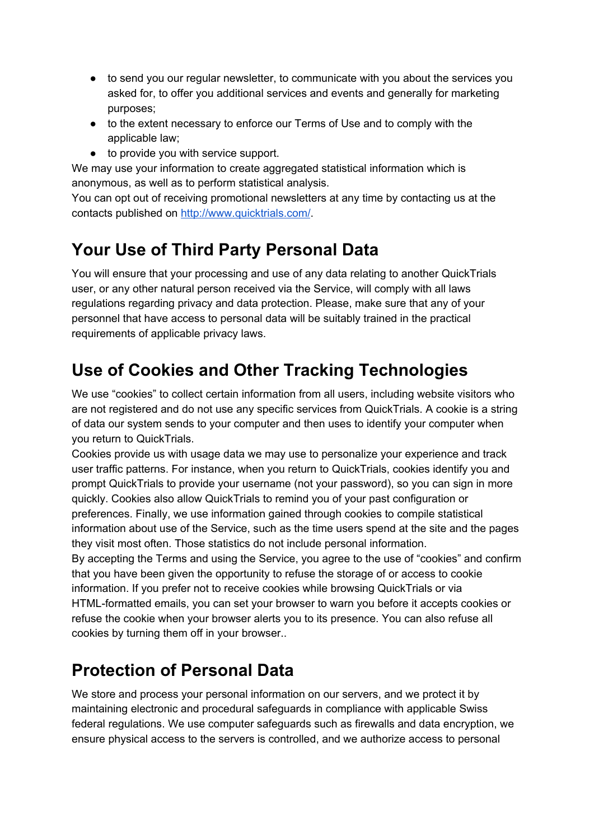- to send you our regular newsletter, to communicate with you about the services you asked for, to offer you additional services and events and generally for marketing purposes;
- to the extent necessary to enforce our Terms of Use and to comply with the applicable law;
- to provide you with service support.

We may use your information to create aggregated statistical information which is anonymous, as well as to perform statistical analysis.

You can opt out of receiving promotional newsletters at any time by contacting us at the contacts published on [http://www.quicktrials.com/.](http://www.quicktrials.com/)

### **Your Use of Third Party Personal Data**

You will ensure that your processing and use of any data relating to another QuickTrials user, or any other natural person received via the Service, will comply with all laws regulations regarding privacy and data protection. Please, make sure that any of your personnel that have access to personal data will be suitably trained in the practical requirements of applicable privacy laws.

### **Use of Cookies and Other Tracking Technologies**

We use "cookies" to collect certain information from all users, including website visitors who are not registered and do not use any specific services from QuickTrials. A cookie is a string of data our system sends to your computer and then uses to identify your computer when you return to QuickTrials.

Cookies provide us with usage data we may use to personalize your experience and track user traffic patterns. For instance, when you return to QuickTrials, cookies identify you and prompt QuickTrials to provide your username (not your password), so you can sign in more quickly. Cookies also allow QuickTrials to remind you of your past configuration or preferences. Finally, we use information gained through cookies to compile statistical information about use of the Service, such as the time users spend at the site and the pages they visit most often. Those statistics do not include personal information.

By accepting the Terms and using the Service, you agree to the use of "cookies" and confirm that you have been given the opportunity to refuse the storage of or access to cookie information. If you prefer not to receive cookies while browsing QuickTrials or via HTML-formatted emails, you can set your browser to warn you before it accepts cookies or refuse the cookie when your browser alerts you to its presence. You can also refuse all cookies by turning them off in your browser..

#### **Protection of Personal Data**

We store and process your personal information on our servers, and we protect it by maintaining electronic and procedural safeguards in compliance with applicable Swiss federal regulations. We use computer safeguards such as firewalls and data encryption, we ensure physical access to the servers is controlled, and we authorize access to personal